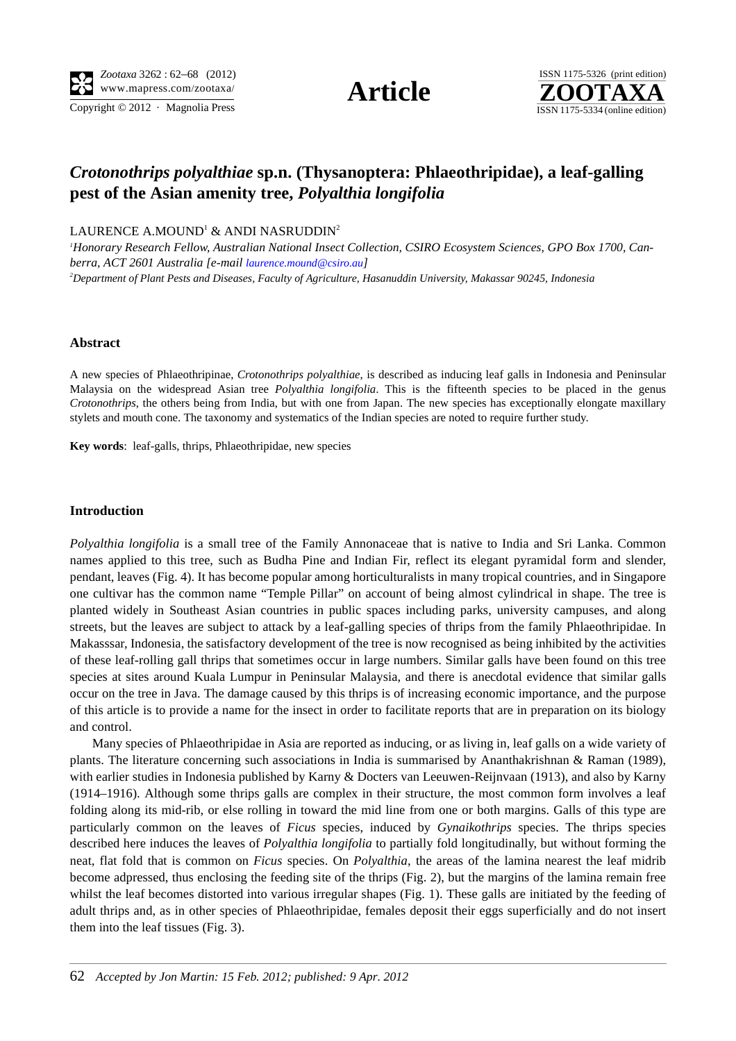

# *Crotonothrips polyalthiae* **sp.n. (Thysanoptera: Phlaeothripidae), a leaf-galling pest of the Asian amenity tree,** *Polyalthia longifolia*

LAURENCE A.MOUND $^{\rm l}$  & ANDI NASRUDDIN $^{\rm 2}$ 

*1 Honorary Research Fellow, Australian National Insect Collection, CSIRO Ecosystem Sciences, GPO Box 1700, Canberra, ACT 2601 Australia [e-mail laurence.mound@csiro.au] 2 Department of Plant Pests and Diseases, Faculty of Agriculture, Hasanuddin University, Makassar 90245, Indonesia*

## **Abstract**

A new species of Phlaeothripinae, *Crotonothrips polyalthiae*, is described as inducing leaf galls in Indonesia and Peninsular Malaysia on the widespread Asian tree *Polyalthia longifolia*. This is the fifteenth species to be placed in the genus *Crotonothrips*, the others being from India, but with one from Japan. The new species has exceptionally elongate maxillary stylets and mouth cone. The taxonomy and systematics of the Indian species are noted to require further study.

**Key words**: leaf-galls, thrips, Phlaeothripidae, new species

#### **Introduction**

*Polyalthia longifolia* is a small tree of the Family Annonaceae that is native to India and Sri Lanka. Common names applied to this tree, such as Budha Pine and Indian Fir, reflect its elegant pyramidal form and slender, pendant, leaves (Fig. 4). It has become popular among horticulturalists in many tropical countries, and in Singapore one cultivar has the common name "Temple Pillar" on account of being almost cylindrical in shape. The tree is planted widely in Southeast Asian countries in public spaces including parks, university campuses, and along streets, but the leaves are subject to attack by a leaf-galling species of thrips from the family Phlaeothripidae. In Makasssar, Indonesia, the satisfactory development of the tree is now recognised as being inhibited by the activities of these leaf-rolling gall thrips that sometimes occur in large numbers. Similar galls have been found on this tree species at sites around Kuala Lumpur in Peninsular Malaysia, and there is anecdotal evidence that similar galls occur on the tree in Java. The damage caused by this thrips is of increasing economic importance, and the purpose of this article is to provide a name for the insect in order to facilitate reports that are in preparation on its biology and control.

Many species of Phlaeothripidae in Asia are reported as inducing, or as living in, leaf galls on a wide variety of plants. The literature concerning such associations in India is summarised by Ananthakrishnan & Raman (1989), with earlier studies in Indonesia published by Karny & Docters van Leeuwen-Reijnvaan (1913), and also by Karny (1914–1916). Although some thrips galls are complex in their structure, the most common form involves a leaf folding along its mid-rib, or else rolling in toward the mid line from one or both margins. Galls of this type are particularly common on the leaves of *Ficus* species, induced by *Gynaikothrips* species. The thrips species described here induces the leaves of *Polyalthia longifolia* to partially fold longitudinally, but without forming the neat, flat fold that is common on *Ficus* species. On *Polyalthia*, the areas of the lamina nearest the leaf midrib become adpressed, thus enclosing the feeding site of the thrips (Fig. 2), but the margins of the lamina remain free whilst the leaf becomes distorted into various irregular shapes (Fig. 1). These galls are initiated by the feeding of adult thrips and, as in other species of Phlaeothripidae, females deposit their eggs superficially and do not insert them into the leaf tissues (Fig. 3).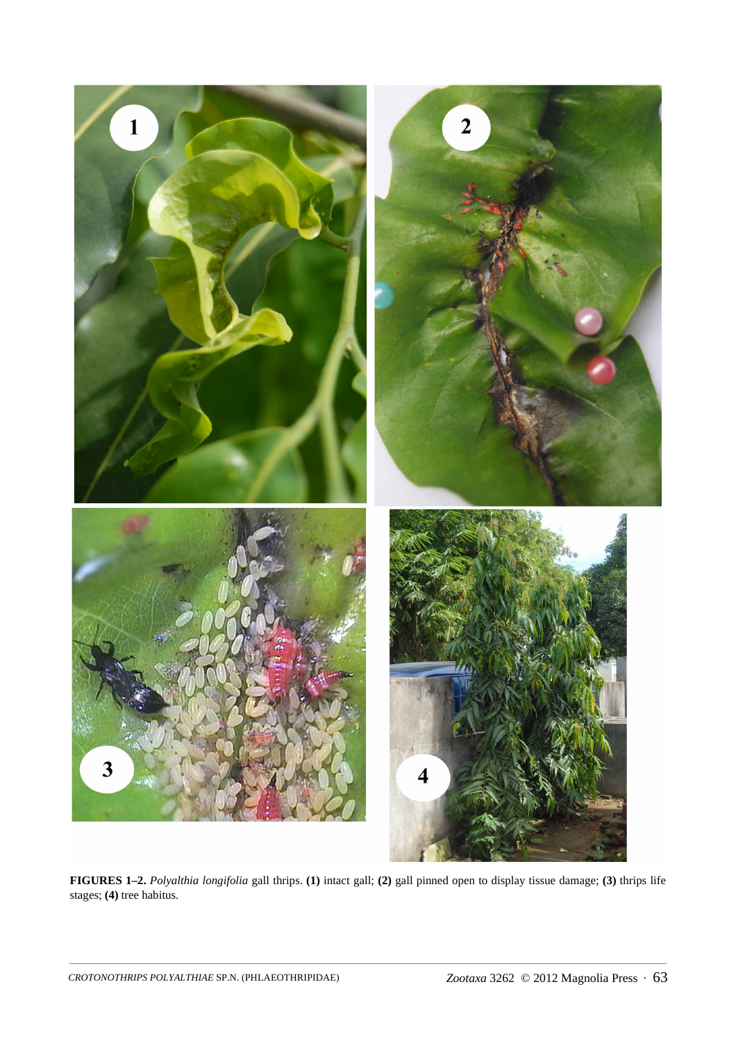

**FIGURES 1–2.** *Polyalthia longifolia* gall thrips. **(1)** intact gall; **(2)** gall pinned open to display tissue damage; **(3)** thrips life stages; **(4)** tree habitus.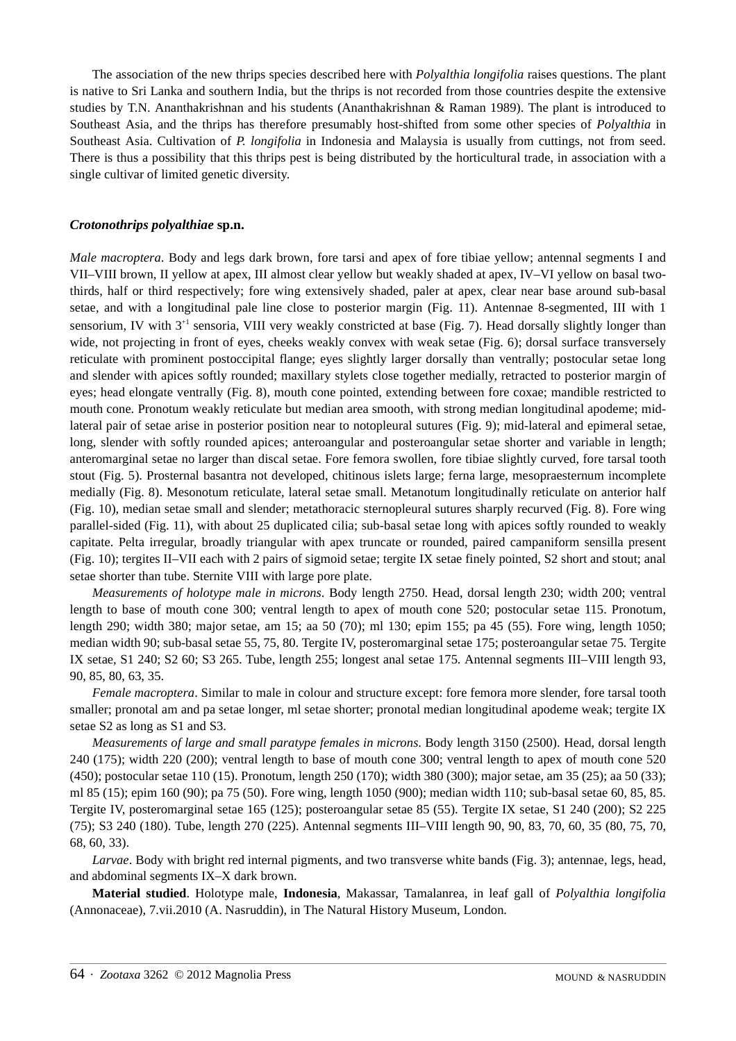The association of the new thrips species described here with *Polyalthia longifolia* raises questions. The plant is native to Sri Lanka and southern India, but the thrips is not recorded from those countries despite the extensive studies by T.N. Ananthakrishnan and his students (Ananthakrishnan & Raman 1989). The plant is introduced to Southeast Asia, and the thrips has therefore presumably host-shifted from some other species of *Polyalthia* in Southeast Asia. Cultivation of *P. longifolia* in Indonesia and Malaysia is usually from cuttings, not from seed. There is thus a possibility that this thrips pest is being distributed by the horticultural trade, in association with a single cultivar of limited genetic diversity.

## *Crotonothrips polyalthiae* **sp.n.**

*Male macroptera*. Body and legs dark brown, fore tarsi and apex of fore tibiae yellow; antennal segments I and VII–VIII brown, II yellow at apex, III almost clear yellow but weakly shaded at apex, IV–VI yellow on basal twothirds, half or third respectively; fore wing extensively shaded, paler at apex, clear near base around sub-basal setae, and with a longitudinal pale line close to posterior margin (Fig. 11). Antennae 8-segmented, III with 1 sensorium, IV with  $3^{+1}$  sensoria, VIII very weakly constricted at base (Fig. 7). Head dorsally slightly longer than wide, not projecting in front of eyes, cheeks weakly convex with weak setae (Fig. 6); dorsal surface transversely reticulate with prominent postoccipital flange; eyes slightly larger dorsally than ventrally; postocular setae long and slender with apices softly rounded; maxillary stylets close together medially, retracted to posterior margin of eyes; head elongate ventrally (Fig. 8), mouth cone pointed, extending between fore coxae; mandible restricted to mouth cone. Pronotum weakly reticulate but median area smooth, with strong median longitudinal apodeme; midlateral pair of setae arise in posterior position near to notopleural sutures (Fig. 9); mid-lateral and epimeral setae, long, slender with softly rounded apices; anteroangular and posteroangular setae shorter and variable in length; anteromarginal setae no larger than discal setae. Fore femora swollen, fore tibiae slightly curved, fore tarsal tooth stout (Fig. 5). Prosternal basantra not developed, chitinous islets large; ferna large, mesopraesternum incomplete medially (Fig. 8). Mesonotum reticulate, lateral setae small. Metanotum longitudinally reticulate on anterior half (Fig. 10), median setae small and slender; metathoracic sternopleural sutures sharply recurved (Fig. 8). Fore wing parallel-sided (Fig. 11), with about 25 duplicated cilia; sub-basal setae long with apices softly rounded to weakly capitate. Pelta irregular, broadly triangular with apex truncate or rounded, paired campaniform sensilla present (Fig. 10); tergites II–VII each with 2 pairs of sigmoid setae; tergite IX setae finely pointed, S2 short and stout; anal setae shorter than tube. Sternite VIII with large pore plate.

*Measurements of holotype male in microns*. Body length 2750. Head, dorsal length 230; width 200; ventral length to base of mouth cone 300; ventral length to apex of mouth cone 520; postocular setae 115. Pronotum, length 290; width 380; major setae, am 15; aa 50 (70); ml 130; epim 155; pa 45 (55). Fore wing, length 1050; median width 90; sub-basal setae 55, 75, 80. Tergite IV, posteromarginal setae 175; posteroangular setae 75. Tergite IX setae, S1 240; S2 60; S3 265. Tube, length 255; longest anal setae 175. Antennal segments III–VIII length 93, 90, 85, 80, 63, 35.

*Female macroptera*. Similar to male in colour and structure except: fore femora more slender, fore tarsal tooth smaller; pronotal am and pa setae longer, ml setae shorter; pronotal median longitudinal apodeme weak; tergite IX setae S2 as long as S1 and S3.

*Measurements of large and small paratype females in microns*. Body length 3150 (2500). Head, dorsal length 240 (175); width 220 (200); ventral length to base of mouth cone 300; ventral length to apex of mouth cone 520 (450); postocular setae 110 (15). Pronotum, length 250 (170); width 380 (300); major setae, am 35 (25); aa 50 (33); ml 85 (15); epim 160 (90); pa 75 (50). Fore wing, length 1050 (900); median width 110; sub-basal setae 60, 85, 85. Tergite IV, posteromarginal setae 165 (125); posteroangular setae 85 (55). Tergite IX setae, S1 240 (200); S2 225 (75); S3 240 (180). Tube, length 270 (225). Antennal segments III–VIII length 90, 90, 83, 70, 60, 35 (80, 75, 70, 68, 60, 33).

*Larvae*. Body with bright red internal pigments, and two transverse white bands (Fig. 3); antennae, legs, head, and abdominal segments IX–X dark brown.

**Material studied**. Holotype male, **Indonesia**, Makassar, Tamalanrea, in leaf gall of *Polyalthia longifolia* (Annonaceae), 7.vii.2010 (A. Nasruddin), in The Natural History Museum, London.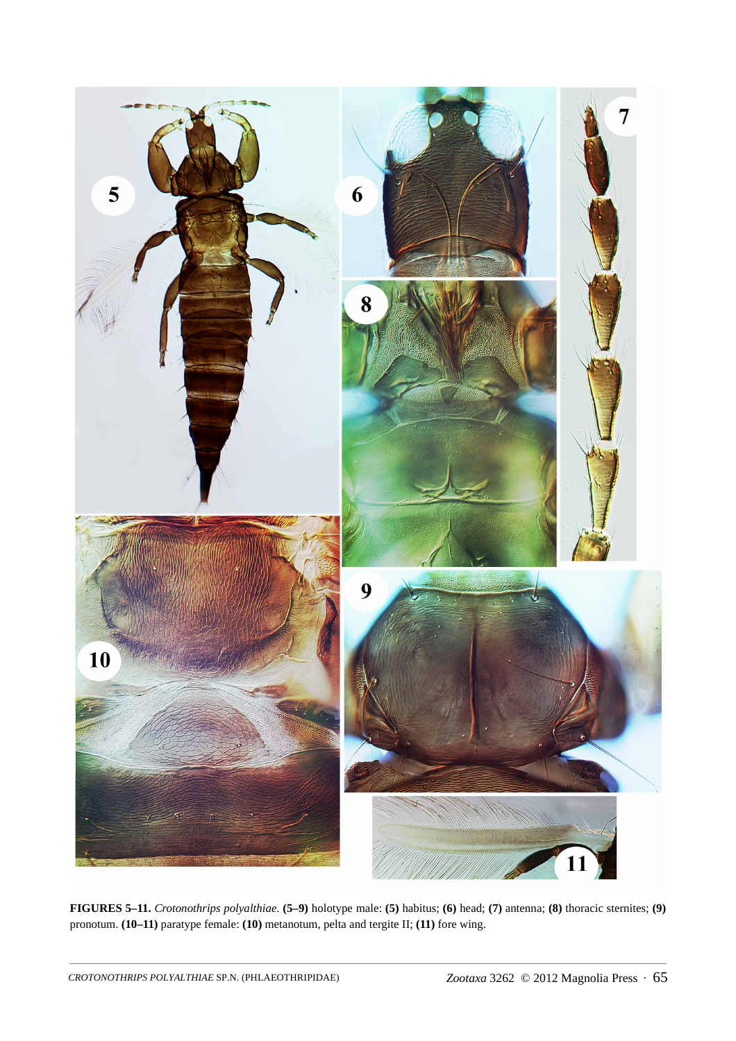

**FIGURES 5–11.** *Crotonothrips polyalthiae*. **(5–9)** holotype male: **(5)** habitus; **(6)** head; **(7)** antenna; **(8)** thoracic sternites; **(9)** pronotum. **(10–11)** paratype female: **(10)** metanotum, pelta and tergite II; **(11)** fore wing.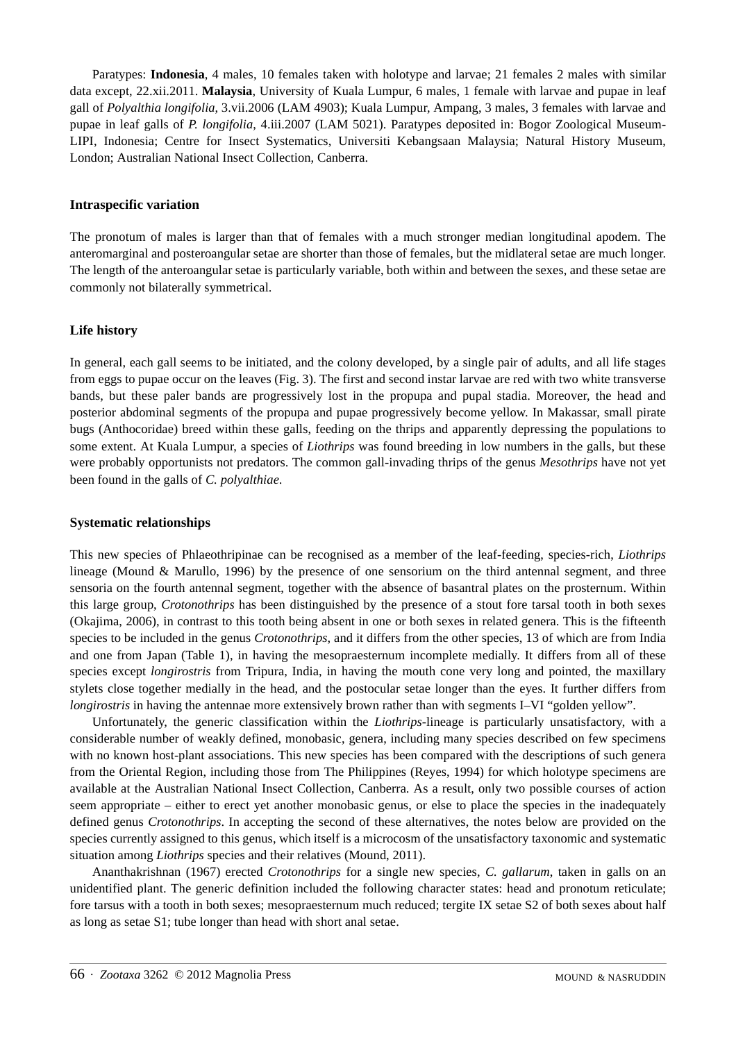Paratypes: **Indonesia**, 4 males, 10 females taken with holotype and larvae; 21 females 2 males with similar data except, 22.xii.2011. **Malaysia**, University of Kuala Lumpur, 6 males, 1 female with larvae and pupae in leaf gall of *Polyalthia longifolia*, 3.vii.2006 (LAM 4903); Kuala Lumpur, Ampang, 3 males, 3 females with larvae and pupae in leaf galls of *P. longifolia*, 4.iii.2007 (LAM 5021). Paratypes deposited in: Bogor Zoological Museum-LIPI, Indonesia; Centre for Insect Systematics, Universiti Kebangsaan Malaysia; Natural History Museum, London; Australian National Insect Collection, Canberra.

# **Intraspecific variation**

The pronotum of males is larger than that of females with a much stronger median longitudinal apodem. The anteromarginal and posteroangular setae are shorter than those of females, but the midlateral setae are much longer. The length of the anteroangular setae is particularly variable, both within and between the sexes, and these setae are commonly not bilaterally symmetrical.

# **Life history**

In general, each gall seems to be initiated, and the colony developed, by a single pair of adults, and all life stages from eggs to pupae occur on the leaves (Fig. 3). The first and second instar larvae are red with two white transverse bands, but these paler bands are progressively lost in the propupa and pupal stadia. Moreover, the head and posterior abdominal segments of the propupa and pupae progressively become yellow. In Makassar, small pirate bugs (Anthocoridae) breed within these galls, feeding on the thrips and apparently depressing the populations to some extent. At Kuala Lumpur, a species of *Liothrips* was found breeding in low numbers in the galls, but these were probably opportunists not predators. The common gall-invading thrips of the genus *Mesothrips* have not yet been found in the galls of *C. polyalthiae*.

# **Systematic relationships**

This new species of Phlaeothripinae can be recognised as a member of the leaf-feeding, species-rich, *Liothrips* lineage (Mound & Marullo, 1996) by the presence of one sensorium on the third antennal segment, and three sensoria on the fourth antennal segment, together with the absence of basantral plates on the prosternum. Within this large group, *Crotonothrips* has been distinguished by the presence of a stout fore tarsal tooth in both sexes (Okajima, 2006), in contrast to this tooth being absent in one or both sexes in related genera. This is the fifteenth species to be included in the genus *Crotonothrips*, and it differs from the other species, 13 of which are from India and one from Japan (Table 1), in having the mesopraesternum incomplete medially. It differs from all of these species except *longirostris* from Tripura, India, in having the mouth cone very long and pointed, the maxillary stylets close together medially in the head, and the postocular setae longer than the eyes. It further differs from *longirostris* in having the antennae more extensively brown rather than with segments I–VI "golden yellow".

Unfortunately, the generic classification within the *Liothrips*-lineage is particularly unsatisfactory, with a considerable number of weakly defined, monobasic, genera, including many species described on few specimens with no known host-plant associations. This new species has been compared with the descriptions of such genera from the Oriental Region, including those from The Philippines (Reyes, 1994) for which holotype specimens are available at the Australian National Insect Collection, Canberra. As a result, only two possible courses of action seem appropriate – either to erect yet another monobasic genus, or else to place the species in the inadequately defined genus *Crotonothrips*. In accepting the second of these alternatives, the notes below are provided on the species currently assigned to this genus, which itself is a microcosm of the unsatisfactory taxonomic and systematic situation among *Liothrips* species and their relatives (Mound, 2011).

Ananthakrishnan (1967) erected *Crotonothrips* for a single new species, *C. gallarum*, taken in galls on an unidentified plant. The generic definition included the following character states: head and pronotum reticulate; fore tarsus with a tooth in both sexes; mesopraesternum much reduced; tergite IX setae S2 of both sexes about half as long as setae S1; tube longer than head with short anal setae.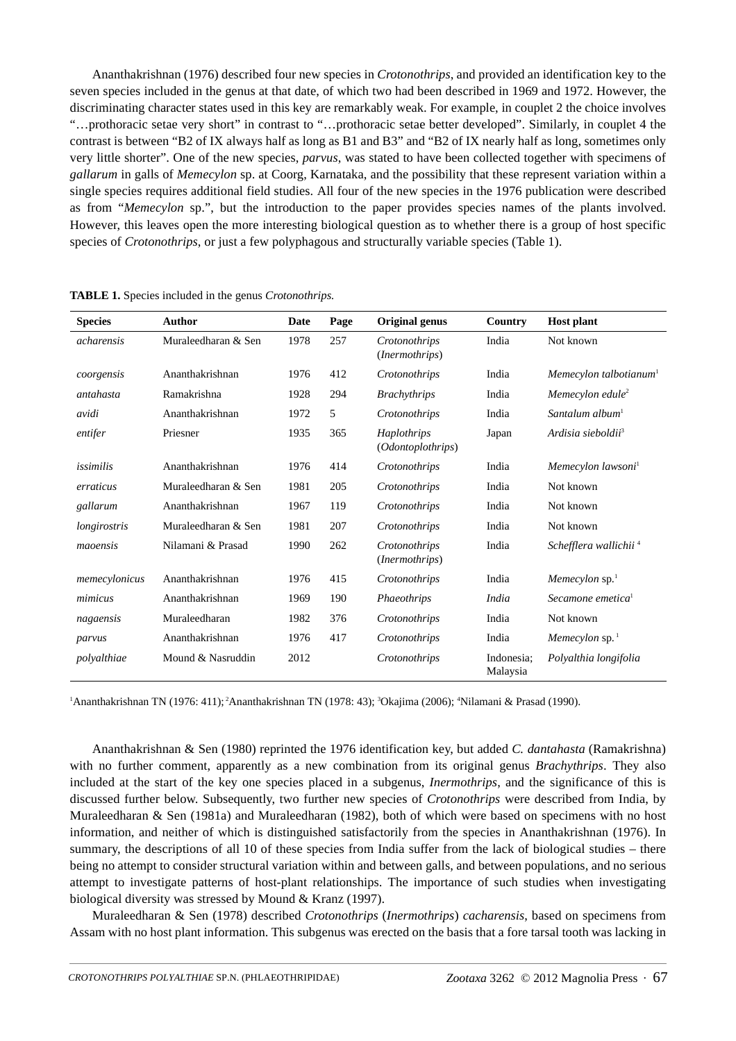Ananthakrishnan (1976) described four new species in *Crotonothrips*, and provided an identification key to the seven species included in the genus at that date, of which two had been described in 1969 and 1972. However, the discriminating character states used in this key are remarkably weak. For example, in couplet 2 the choice involves "…prothoracic setae very short" in contrast to "…prothoracic setae better developed". Similarly, in couplet 4 the contrast is between "B2 of IX always half as long as B1 and B3" and "B2 of IX nearly half as long, sometimes only very little shorter". One of the new species, *parvus*, was stated to have been collected together with specimens of *gallarum* in galls of *Memecylon* sp. at Coorg, Karnataka, and the possibility that these represent variation within a single species requires additional field studies. All four of the new species in the 1976 publication were described as from "*Memecylon* sp.", but the introduction to the paper provides species names of the plants involved. However, this leaves open the more interesting biological question as to whether there is a group of host specific species of *Crotonothrips*, or just a few polyphagous and structurally variable species (Table 1).

| <b>Species</b> | <b>Author</b>       | Date | Page | Original genus                           | Country                | <b>Host plant</b>                  |
|----------------|---------------------|------|------|------------------------------------------|------------------------|------------------------------------|
| acharensis     | Muraleedharan & Sen | 1978 | 257  | Crotonothrips<br>( <i>Inermothrips</i> ) | India                  | Not known                          |
| coorgensis     | Ananthakrishnan     | 1976 | 412  | Crotonothrips                            | India                  | Memecylon talbotianum <sup>1</sup> |
| antahasta      | Ramakrishna         | 1928 | 294  | <b>Brachythrips</b>                      | India                  | Memecylon edule <sup>2</sup>       |
| avidi          | Ananthakrishnan     | 1972 | 5    | Crotonothrips                            | India                  | Santalum album <sup>1</sup>        |
| entifer        | Priesner            | 1935 | 365  | <b>Haplothrips</b><br>(Odontoplothrips)  | Japan                  | Ardisia sieboldii <sup>3</sup>     |
| issimilis      | Ananthakrishnan     | 1976 | 414  | Crotonothrips                            | India                  | Memecylon lawsoni <sup>1</sup>     |
| erraticus      | Muraleedharan & Sen | 1981 | 205  | Crotonothrips                            | India                  | Not known                          |
| gallarum       | Ananthakrishnan     | 1967 | 119  | Crotonothrips                            | India                  | Not known                          |
| longirostris   | Muraleedharan & Sen | 1981 | 207  | Crotonothrips                            | India                  | Not known                          |
| maoensis       | Nilamani & Prasad   | 1990 | 262  | Crotonothrips<br>( <i>Inermothrips</i> ) | India                  | Schefflera wallichii <sup>4</sup>  |
| memecylonicus  | Ananthakrishnan     | 1976 | 415  | Crotonothrips                            | India                  | Memecylon $sp1$                    |
| mimicus        | Ananthakrishnan     | 1969 | 190  | Phaeothrips                              | <i>India</i>           | Secamone emetica <sup>1</sup>      |
| nagaensis      | Muraleedharan       | 1982 | 376  | Crotonothrips                            | India                  | Not known                          |
| parvus         | Ananthakrishnan     | 1976 | 417  | Crotonothrips                            | India                  | Memecylon $sp.$ <sup>1</sup>       |
| polyalthiae    | Mound & Nasruddin   | 2012 |      | Crotonothrips                            | Indonesia:<br>Malaysia | Polyalthia longifolia              |

**TABLE 1.** Species included in the genus *Crotonothrips.*

<sup>1</sup>Ananthakrishnan TN (1976: 411); <sup>2</sup>Ananthakrishnan TN (1978: 43); <sup>3</sup>Okajima (2006); <sup>4</sup>Nilamani & Prasad (1990).

Ananthakrishnan & Sen (1980) reprinted the 1976 identification key, but added *C. dantahasta* (Ramakrishna) with no further comment, apparently as a new combination from its original genus *Brachythrips*. They also included at the start of the key one species placed in a subgenus, *Inermothrips*, and the significance of this is discussed further below. Subsequently, two further new species of *Crotonothrips* were described from India, by Muraleedharan & Sen (1981a) and Muraleedharan (1982), both of which were based on specimens with no host information, and neither of which is distinguished satisfactorily from the species in Ananthakrishnan (1976). In summary, the descriptions of all 10 of these species from India suffer from the lack of biological studies – there being no attempt to consider structural variation within and between galls, and between populations, and no serious attempt to investigate patterns of host-plant relationships. The importance of such studies when investigating biological diversity was stressed by Mound & Kranz (1997).

Muraleedharan & Sen (1978) described *Crotonothrips* (*Inermothrips*) *cacharensis*, based on specimens from Assam with no host plant information. This subgenus was erected on the basis that a fore tarsal tooth was lacking in